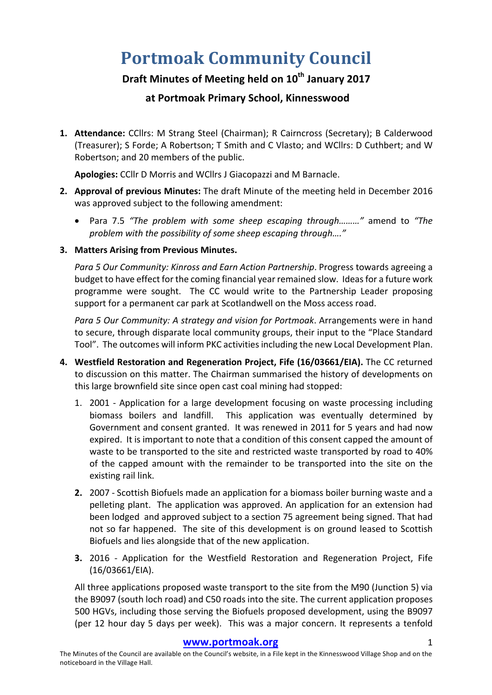# **Portmoak Community Council**

# **Draft Minutes of Meeting held on 10th January 2017**

# **at Portmoak Primary School, Kinnesswood**

1. Attendance: CCllrs: M Strang Steel (Chairman); R Cairncross (Secretary); B Calderwood (Treasurer); S Forde; A Robertson; T Smith and C Vlasto; and WCllrs: D Cuthbert; and W Robertson; and 20 members of the public.

Apologies: CCllr D Morris and WCllrs J Giacopazzi and M Barnacle.

- **2. Approval of previous Minutes:** The draft Minute of the meeting held in December 2016 was approved subject to the following amendment:
	- Para 7.5 "The problem with some sheep escaping through........." amend to "The problem with the possibility of some sheep escaping through...."
- **3. Matters Arising from Previous Minutes.**

*Para 5 Our Community: Kinross and Earn Action Partnership.* Progress towards agreeing a budget to have effect for the coming financial year remained slow. Ideas for a future work programme were sought. The CC would write to the Partnership Leader proposing support for a permanent car park at Scotlandwell on the Moss access road.

*Para* 5 Our Community: A strategy and vision for Portmoak. Arrangements were in hand to secure, through disparate local community groups, their input to the "Place Standard Tool". The outcomes will inform PKC activities including the new Local Development Plan.

- 4. Westfield Restoration and Regeneration Project, Fife (16/03661/EIA). The CC returned to discussion on this matter. The Chairman summarised the history of developments on this large brownfield site since open cast coal mining had stopped:
	- 1. 2001 Application for a large development focusing on waste processing including biomass boilers and landfill. This application was eventually determined by Government and consent granted. It was renewed in 2011 for 5 years and had now expired. It is important to note that a condition of this consent capped the amount of waste to be transported to the site and restricted waste transported by road to 40% of the capped amount with the remainder to be transported into the site on the existing rail link.
	- **2.** 2007 Scottish Biofuels made an application for a biomass boiler burning waste and a pelleting plant. The application was approved. An application for an extension had been lodged and approved subject to a section 75 agreement being signed. That had not so far happened. The site of this development is on ground leased to Scottish Biofuels and lies alongside that of the new application.
	- **3.** 2016 Application for the Westfield Restoration and Regeneration Project, Fife (16/03661/EIA).

All three applications proposed waste transport to the site from the M90 (Junction 5) via the B9097 (south loch road) and C50 roads into the site. The current application proposes 500 HGVs, including those serving the Biofuels proposed development, using the B9097 (per 12 hour day 5 days per week). This was a major concern. It represents a tenfold

#### www.portmoak.org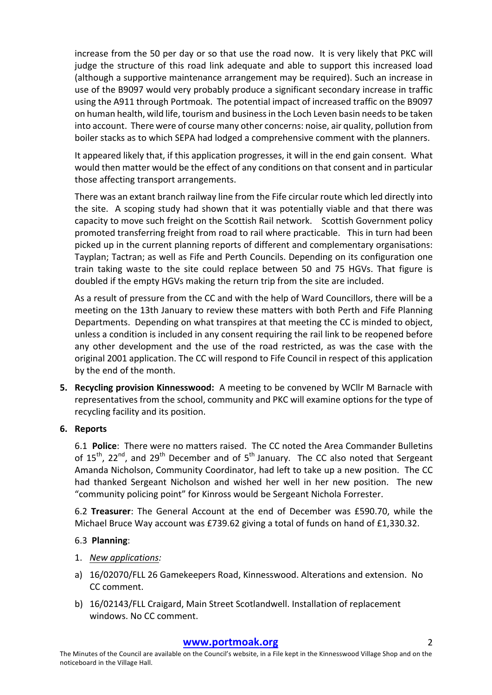increase from the 50 per day or so that use the road now. It is very likely that PKC will judge the structure of this road link adequate and able to support this increased load (although a supportive maintenance arrangement may be required). Such an increase in use of the B9097 would very probably produce a significant secondary increase in traffic using the A911 through Portmoak. The potential impact of increased traffic on the B9097 on human health, wild life, tourism and business in the Loch Leven basin needs to be taken into account. There were of course many other concerns: noise, air quality, pollution from boiler stacks as to which SEPA had lodged a comprehensive comment with the planners.

It appeared likely that, if this application progresses, it will in the end gain consent. What would then matter would be the effect of any conditions on that consent and in particular those affecting transport arrangements.

There was an extant branch railway line from the Fife circular route which led directly into the site. A scoping study had shown that it was potentially viable and that there was capacity to move such freight on the Scottish Rail network. Scottish Government policy promoted transferring freight from road to rail where practicable. This in turn had been picked up in the current planning reports of different and complementary organisations: Tayplan; Tactran; as well as Fife and Perth Councils. Depending on its configuration one train taking waste to the site could replace between 50 and 75 HGVs. That figure is doubled if the empty HGVs making the return trip from the site are included.

As a result of pressure from the CC and with the help of Ward Councillors, there will be a meeting on the 13th January to review these matters with both Perth and Fife Planning Departments. Depending on what transpires at that meeting the CC is minded to object, unless a condition is included in any consent requiring the rail link to be reopened before any other development and the use of the road restricted, as was the case with the original 2001 application. The CC will respond to Fife Council in respect of this application by the end of the month.

**5.** Recycling provision Kinnesswood: A meeting to be convened by WCllr M Barnacle with representatives from the school, community and PKC will examine options for the type of recycling facility and its position.

#### **6. Reports**

6.1 **Police**: There were no matters raised. The CC noted the Area Commander Bulletins of  $15^{th}$ ,  $22^{nd}$ , and  $29^{th}$  December and of  $5^{th}$  January. The CC also noted that Sergeant Amanda Nicholson, Community Coordinator, had left to take up a new position. The CC had thanked Sergeant Nicholson and wished her well in her new position. The new "community policing point" for Kinross would be Sergeant Nichola Forrester.

6.2 **Treasurer**: The General Account at the end of December was £590.70, while the Michael Bruce Way account was £739.62 giving a total of funds on hand of £1,330.32.

#### 6.3 **Planning**:

- 1. *New applications:*
- a) 16/02070/FLL 26 Gamekeepers Road, Kinnesswood. Alterations and extension. No CC comment.
- b) 16/02143/FLL Craigard, Main Street Scotlandwell. Installation of replacement windows. No CC comment.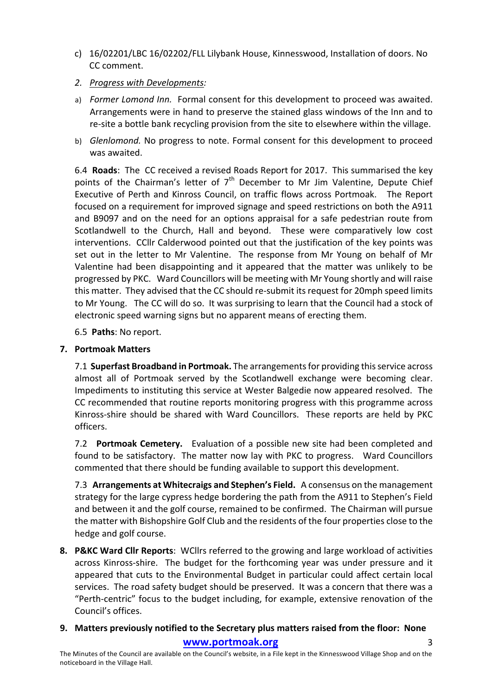- c) 16/02201/LBC 16/02202/FLL Lilybank House, Kinnesswood, Installation of doors. No CC comment.
- *2. Progress with Developments:*
- a) *Former Lomond Inn.* Formal consent for this development to proceed was awaited. Arrangements were in hand to preserve the stained glass windows of the Inn and to re-site a bottle bank recycling provision from the site to elsewhere within the village.
- b) *Glenlomond.* No progress to note. Formal consent for this development to proceed was awaited.

6.4 **Roads**: The CC received a revised Roads Report for 2017. This summarised the key points of the Chairman's letter of  $7<sup>th</sup>$  December to Mr Jim Valentine, Depute Chief Executive of Perth and Kinross Council, on traffic flows across Portmoak. The Report focused on a requirement for improved signage and speed restrictions on both the A911 and B9097 and on the need for an options appraisal for a safe pedestrian route from Scotlandwell to the Church, Hall and beyond. These were comparatively low cost interventions. CCllr Calderwood pointed out that the justification of the key points was set out in the letter to Mr Valentine. The response from Mr Young on behalf of Mr Valentine had been disappointing and it appeared that the matter was unlikely to be progressed by PKC. Ward Councillors will be meeting with Mr Young shortly and will raise this matter. They advised that the CC should re-submit its request for 20mph speed limits to Mr Young. The CC will do so. It was surprising to learn that the Council had a stock of electronic speed warning signs but no apparent means of erecting them.

6.5 **Paths**: No report.

### **7. Portmoak Matters**

7.1 **Superfast Broadband in Portmoak.** The arrangements for providing this service across almost all of Portmoak served by the Scotlandwell exchange were becoming clear. Impediments to instituting this service at Wester Balgedie now appeared resolved. The CC recommended that routine reports monitoring progress with this programme across Kinross-shire should be shared with Ward Councillors. These reports are held by PKC officers.

7.2 **Portmoak Cemetery.** Evaluation of a possible new site had been completed and found to be satisfactory. The matter now lay with PKC to progress. Ward Councillors commented that there should be funding available to support this development.

7.3 **Arrangements at Whitecraigs and Stephen's Field.** A consensus on the management strategy for the large cypress hedge bordering the path from the A911 to Stephen's Field and between it and the golf course, remained to be confirmed. The Chairman will pursue the matter with Bishopshire Golf Club and the residents of the four properties close to the hedge and golf course.

**8. P&KC Ward Cllr Reports:** WCllrs referred to the growing and large workload of activities across Kinross-shire. The budget for the forthcoming year was under pressure and it appeared that cuts to the Environmental Budget in particular could affect certain local services. The road safety budget should be preserved. It was a concern that there was a "Perth-centric" focus to the budget including, for example, extensive renovation of the Council's offices.

## **9.** Matters previously notified to the Secretary plus matters raised from the floor: None

**www.portmoak.org** 3